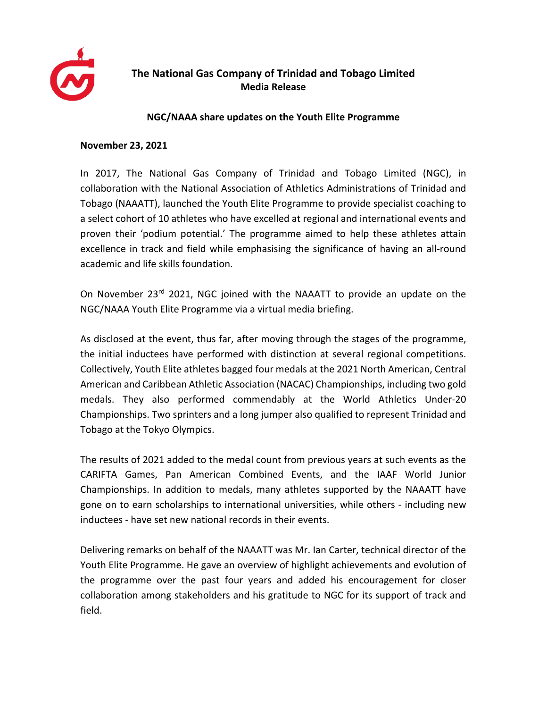

## **The National Gas Company of Trinidad and Tobago Limited Media Release**

## **NGC/NAAA share updates on the Youth Elite Programme**

## **November 23, 2021**

In 2017, The National Gas Company of Trinidad and Tobago Limited (NGC), in collaboration with the National Association of Athletics Administrations of Trinidad and Tobago (NAAATT), launched the Youth Elite Programme to provide specialist coaching to a select cohort of 10 athletes who have excelled at regional and international events and proven their 'podium potential.' The programme aimed to help these athletes attain excellence in track and field while emphasising the significance of having an all-round academic and life skills foundation.

On November 23rd 2021, NGC joined with the NAAATT to provide an update on the NGC/NAAA Youth Elite Programme via a virtual media briefing.

As disclosed at the event, thus far, after moving through the stages of the programme, the initial inductees have performed with distinction at several regional competitions. Collectively, Youth Elite athletes bagged four medals at the 2021 North American, Central American and Caribbean Athletic Association (NACAC) Championships, including two gold medals. They also performed commendably at the World Athletics Under-20 Championships. Two sprinters and a long jumper also qualified to represent Trinidad and Tobago at the Tokyo Olympics.

The results of 2021 added to the medal count from previous years at such events as the CARIFTA Games, Pan American Combined Events, and the IAAF World Junior Championships. In addition to medals, many athletes supported by the NAAATT have gone on to earn scholarships to international universities, while others - including new inductees - have set new national records in their events.

Delivering remarks on behalf of the NAAATT was Mr. Ian Carter, technical director of the Youth Elite Programme. He gave an overview of highlight achievements and evolution of the programme over the past four years and added his encouragement for closer collaboration among stakeholders and his gratitude to NGC for its support of track and field.